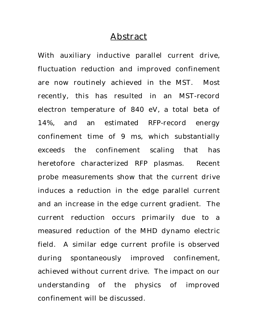#### Abstract

With auxiliary inductive parallel current drive, fluctuation reduction and improved confinement are now routinely achieved in the MST. Most recently, this has resulted in an MST-record electron temperature of 840 eV, a total beta of 14%, and an estimated RFP-record energy confinement time of 9 ms, which substantially exceeds the confinement scaling that has heretofore characterized RFP plasmas. Recent probe measurements show that the current drive induces a reduction in the edge parallel current and an increase in the edge current gradient. The current reduction occurs primarily due to a measured reduction of the MHD dynamo electric field. A similar edge current profile is observed during spontaneously improved confinement, achieved without current drive. The impact on our understanding of the physics of improved confinement will be discussed.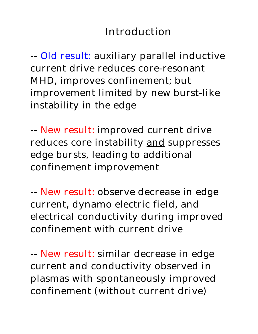# Introduction

-- Old result: auxiliary parallel inductive current drive reduces core-resonant MHD, improves confinement; but improvement limited by new burst-like instability in the edge

-- New result: improved current drive reduces core instability and suppresses edge bursts, leading to additional confinement improvement

-- New result: observe decrease in edge current, dynamo electric field, and electrical conductivity during improved confinement with current drive

-- New result: similar decrease in edge current and conductivity observed in plasmas with spontaneously improved confinement (without current drive)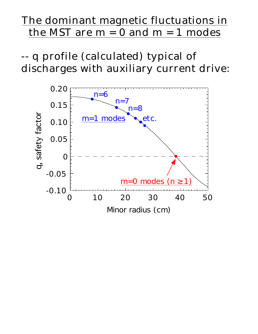# The dominant magnetic fluctuations in the MST are  $m = 0$  and  $m = 1$  modes

-- q profile (calculated) typical of discharges with auxiliary current drive:

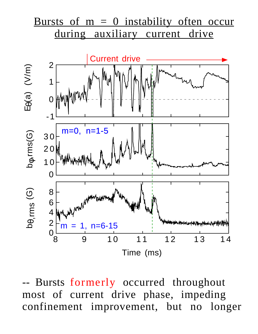

Bursts formerly occurred throughout most of current drive phase, impeding confinement improvement, but no longer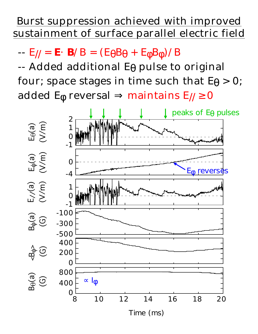## Burst suppression achieved with improved sustainment of surface parallel electric field

 $-E/|= E \cdot B/B = (E \cdot B) + E \cdot B$  )/B

-- Added additional E pulse to original four; space stages in time such that  $E > 0$ ; added E reversal maintains E// 0

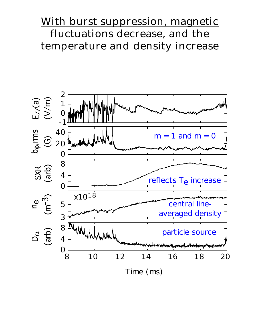## With burst suppression, magnetic fluctuations decrease, and the temperature and density increase

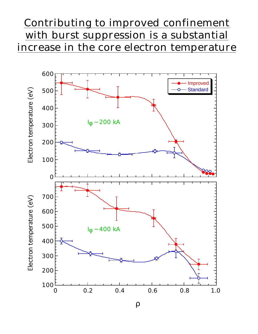## Contributing to improved confinement with burst suppression is a substantial increase in the core electron temperature

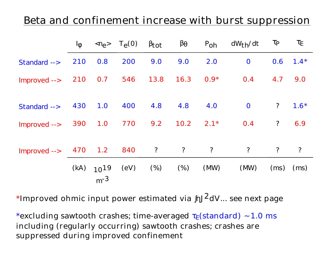#### Beta and confinement increase with burst suppression

|              | L    | $\langle \mathsf{n}_{\mathsf{e}} \rangle$ | $T_{\Theta}(0)$ | tot        |            | $P_{\text{Oh}}$ | $dW_{th}/dt$   |                |        |
|--------------|------|-------------------------------------------|-----------------|------------|------------|-----------------|----------------|----------------|--------|
| Standard --> | 210  | 0.8                                       | 200             | 9.0        | 9.0        | 2.0             | $\mathbf{O}$   | 0.6            | $1.4*$ |
| Improved --> | 210  | 0.7                                       | 546             | 13.8       | 16.3       | $0.9*$          | 0.4            | 4.7            | 9.0    |
| Standard --> | 430  | 1.0                                       | 400             | 4.8        | 4.8        | 4.0             | $\mathbf{O}$   | $\ddot{?}$     | $1.6*$ |
| Improved --> | 390  | 1.0                                       | 770             | 9.2        | 10.2       | $2.1*$          | 0.4            | $\ddot{?}$     | 6.9    |
| Improved --> | 470  | 1.2                                       | 840             | $\ddot{?}$ | $\ddot{?}$ | $\overline{?}$  | $\overline{?}$ | $\overline{?}$ | ?      |
|              | (kA) | $10^{19}$<br>$m-3$                        | (eV)            | $(\%)$     | (%)        | (MW)            | (MW)           | (ms)           | (ms)   |

\*Improved ohmic input power estimated via  $J^2$ dV... see next page

\*excluding sawtooth crashes; time-averaged (standard) 1.0 ms including (regularly occurring) sawtooth crashes; crashes are suppressed during improved confinement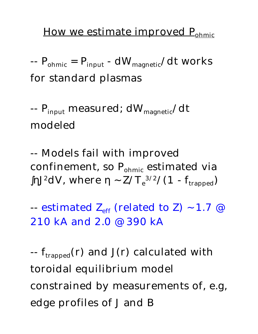#### How we estimate improved  $P_{\text{ohmic}}$

 $-P_{ohmic} = P_{input} - dW_{magnetic}/dt$  works for standard plasmas

--  $P_{input}$  measured;  $dW_{magnetic}/dt$ modeled

-- Models fail with improved confinement, so  $P_{ohmic}$  estimated via J<sup>2</sup>dV, where  $Z/T_e^{3/2}/(1-f_{trapped})$ 

-- estimated  $Z_{\text{eff}}$  (related to Z) 1.7 @ 210 kA and 2.0 @ 390 kA

 $-f_{trapped}(r)$  and J(r) calculated with toroidal equilibrium model constrained by measurements of, e.g, edge profiles of J and B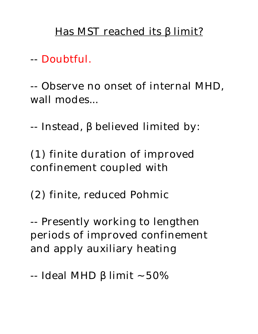### Has MST reached its limit?

-- Doubtful.

-- Observe no onset of internal MHD, wall modes...

-- Instead, believed limited by:

(1) finite duration of improved confinement coupled with

(2) finite, reduced Pohmic

-- Presently working to lengthen periods of improved confinement and apply auxiliary heating

-- Ideal MHD limit 50%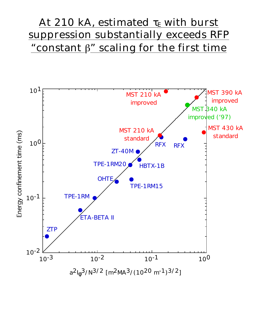## At 210 kA, estimated with burst suppression substantially exceeds RFP "constant  $\beta$ " scaling for the first time

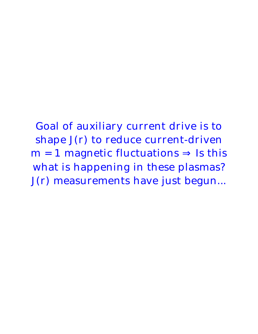Goal of auxiliary current drive is to shape J(r) to reduce current-driven  $m = 1$  magnetic fluctuations Is this what is happening in these plasmas? J(r) measurements have just begun...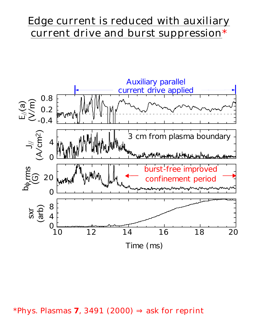## Edge current is reduced with auxiliary current drive and burst suppression\*



\*Phys. Plasmas **7**, 3491 (2000) ask for reprint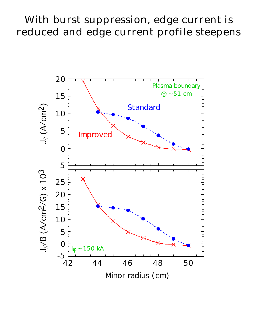## With burst suppression, edge current is reduced and edge current profile steepens

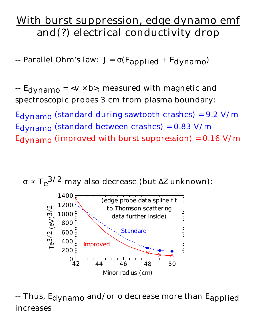# With burst suppression, edge dynamo emf and(?) electrical conductivity drop

-- Parallel Ohm's law:  $J = (E_{\text{applied}} + E_{\text{dynamo}})$ 

 $-$  E<sub>dynamo</sub> =  $\langle v \times b \rangle$ , measured with magnetic and spectroscopic probes 3 cm from plasma boundary:

 $Edynamo$  (standard during sawtooth crashes) = 9.2 V/m Edynamo (standard between crashes) = 0.83 V/m E<sub>dynamo</sub> (improved with burst suppression) =  $0.16$  V/m



-- Thus, E<sub>dynamo</sub> and/or decrease more than E<sub>applied</sub> increases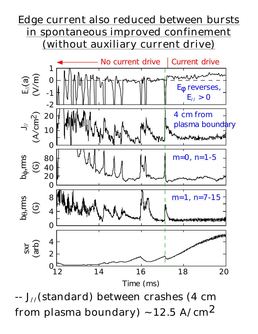# Edge current also reduced between bursts in spontaneous improved confinement (without auxiliary current drive)



-- J//(standard) between crashes (4 cm from plasma boundary)  $12.5 \text{ A/cm}^2$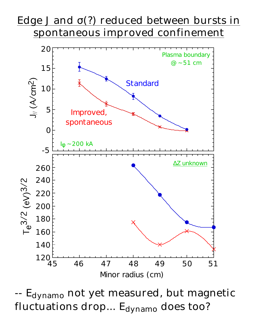# Edge J and (?) reduced between bursts in spontaneous improved confinement



-- E<sub>dynamo</sub> not yet measured, but magnetic fluctuations drop...  $E_{\text{dynamic}}$  does too?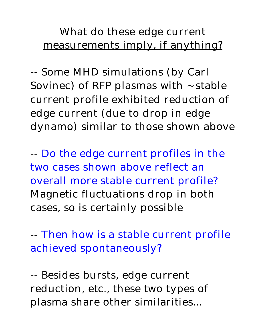# What do these edge current measurements imply, if anything?

-- Some MHD simulations (by Carl Sovinec) of RFP plasmas with stable current profile exhibited reduction of edge current (due to drop in edge dynamo) similar to those shown above

-- Do the edge current profiles in the two cases shown above reflect an overall more stable current profile? Magnetic fluctuations drop in both cases, so is certainly possible

-- Then how is a stable current profile achieved spontaneously?

-- Besides bursts, edge current reduction, etc., these two types of plasma share other similarities...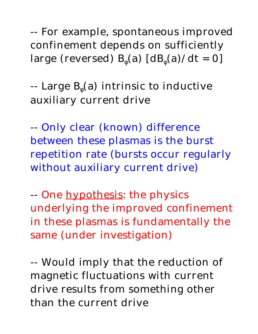-- For example, spontaneous improved confinement depends on sufficiently large (reversed) B (a)  $[dB(a)/dt = 0]$ 

-- Large B (a) intrinsic to inductive auxiliary current drive

-- Only clear (known) difference between these plasmas is the burst repetition rate (bursts occur regularly without auxiliary current drive)

-- One hypothesis: the physics underlying the improved confinement in these plasmas is fundamentally the same (under investigation)

-- Would imply that the reduction of magnetic fluctuations with current drive results from something other than the current drive